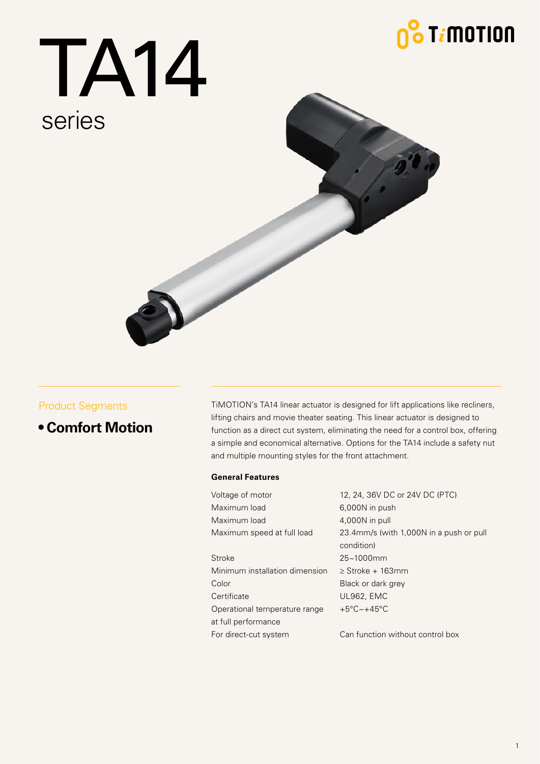## $\frac{1}{2}$  T $i$ motion

# TA14 series



#### Product Segments

#### **• Comfort Motion**

TiMOTION's TA14 linear actuator is designed for lift applications like recliners, lifting chairs and movie theater seating. This linear actuator is designed to function as a direct cut system, eliminating the need for a control box, offering a simple and economical alternative. Options for the TA14 include a safety nut and multiple mounting styles for the front attachment.

#### **General Features**

Voltage of motor 12, 24, 36V DC or 24V DC (PTC) Maximum load 6,000N in push Maximum load 4,000N in pull Maximum speed at full load 23.4mm/s (with 1,000N in a push or pull condition) Stroke 25~1000mm Minimum installation dimension ≥ Stroke + 163mm Color Black or dark grey Certificate UL962, EMC Operational temperature range +5°C~+45°C at full performance For direct-cut system Can function without control box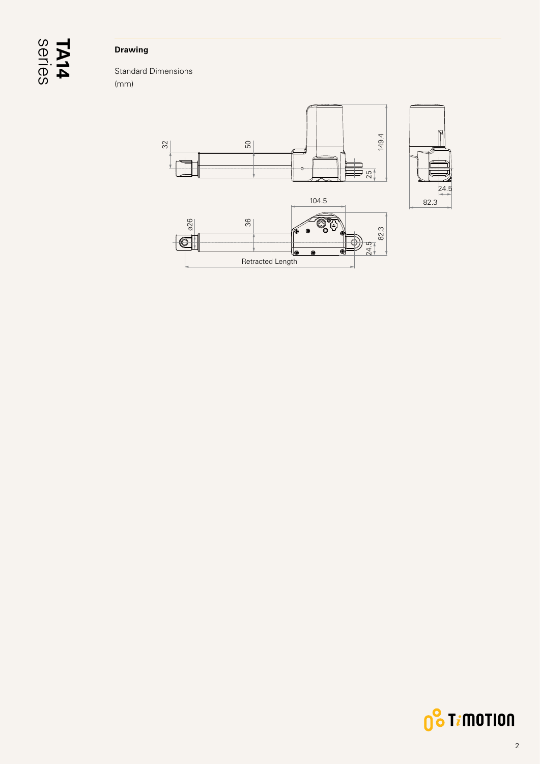# series **TA14**

#### **Drawing**

Standard Dimensions (mm)



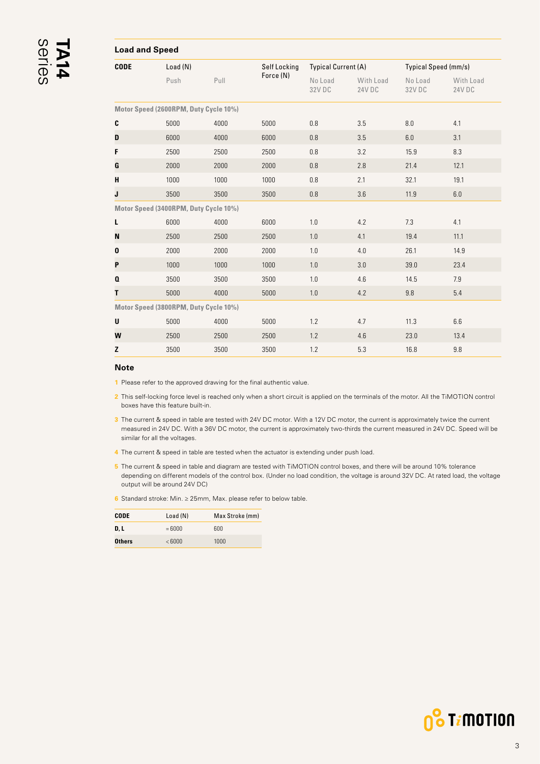<span id="page-2-0"></span>

| <b>Load and Speed</b> |                                       |      |              |                            |                     |                      |                     |
|-----------------------|---------------------------------------|------|--------------|----------------------------|---------------------|----------------------|---------------------|
| <b>CODE</b>           | Load(N)                               |      | Self Locking | <b>Typical Current (A)</b> |                     | Typical Speed (mm/s) |                     |
|                       | Push                                  | Pull | Force (N)    | No Load<br>32V DC          | With Load<br>24V DC | No Load<br>32V DC    | With Load<br>24V DC |
|                       | Motor Speed (2600RPM, Duty Cycle 10%) |      |              |                            |                     |                      |                     |
| C                     | 5000                                  | 4000 | 5000         | 0.8                        | 3.5                 | 8.0                  | 4.1                 |
| D                     | 6000                                  | 4000 | 6000         | 0.8                        | 3.5                 | 6.0                  | 3.1                 |
| F                     | 2500                                  | 2500 | 2500         | 0.8                        | 3.2                 | 15.9                 | 8.3                 |
| G                     | 2000                                  | 2000 | 2000         | 0.8                        | 2.8                 | 21.4                 | 12.1                |
| H                     | 1000                                  | 1000 | 1000         | 0.8                        | 2.1                 | 32.1                 | 19.1                |
| J                     | 3500                                  | 3500 | 3500         | 0.8                        | 3.6                 | 11.9                 | 6.0                 |
|                       | Motor Speed (3400RPM, Duty Cycle 10%) |      |              |                            |                     |                      |                     |
| L                     | 6000                                  | 4000 | 6000         | 1.0                        | 4.2                 | 7.3                  | 4.1                 |
| N                     | 2500                                  | 2500 | 2500         | 1.0                        | 4.1                 | 19.4                 | 11.1                |
| 0                     | 2000                                  | 2000 | 2000         | 1.0                        | 4.0                 | 26.1                 | 14.9                |
| P                     | 1000                                  | 1000 | 1000         | 1.0                        | 3.0                 | 39.0                 | 23.4                |
| $\mathbf{a}$          | 3500                                  | 3500 | 3500         | 1.0                        | 4.6                 | 14.5                 | 7.9                 |
| T                     | 5000                                  | 4000 | 5000         | 1.0                        | 4.2                 | 9.8                  | 5.4                 |
|                       | Motor Speed (3800RPM, Duty Cycle 10%) |      |              |                            |                     |                      |                     |
| U                     | 5000                                  | 4000 | 5000         | 1.2                        | 4.7                 | 11.3                 | 6.6                 |
| W                     | 2500                                  | 2500 | 2500         | 1.2                        | 4.6                 | 23.0                 | 13.4                |

#### **Note**

**1** Please refer to the approved drawing for the final authentic value.

**2** This self-locking force level is reached only when a short circuit is applied on the terminals of the motor. All the TiMOTION control boxes have this feature built-in.

**Z** 3500 3500 3500 1.2 5.3 16.8 9.8

**3** The current & speed in table are tested with 24V DC motor. With a 12V DC motor, the current is approximately twice the current measured in 24V DC. With a 36V DC motor, the current is approximately two-thirds the current measured in 24V DC. Speed will be similar for all the voltages.

- **4** The current & speed in table are tested when the actuator is extending under push load.
- **5** The current & speed in table and diagram are tested with TiMOTION control boxes, and there will be around 10% tolerance depending on different models of the control box. (Under no load condition, the voltage is around 32V DC. At rated load, the voltage output will be around 24V DC)
- **6** Standard stroke: Min. ≥ 25mm, Max. please refer to below table.

| CODE          | Load(N) | Max Stroke (mm) |
|---------------|---------|-----------------|
| D. L          | $=6000$ | 600             |
| <b>Others</b> | < 6000  | 1000            |

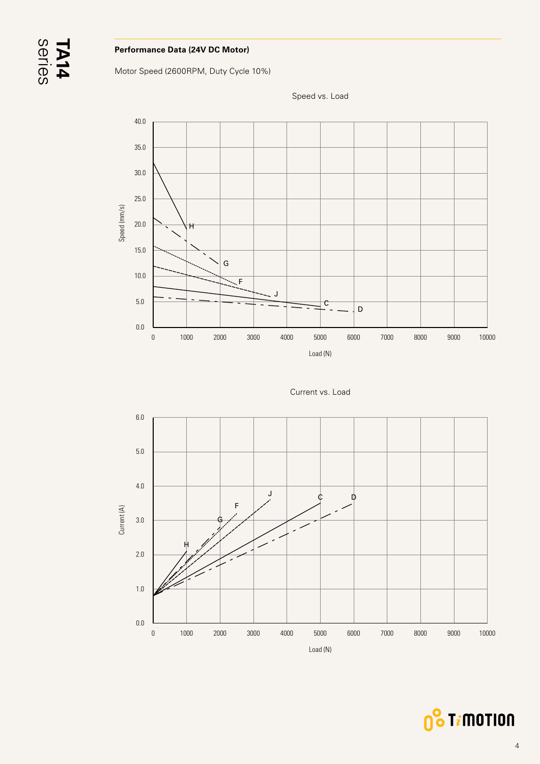#### **Performance Data (24V DC Motor)**

Motor Speed (2600RPM, Duty Cycle 10%)



Speed vs. Load





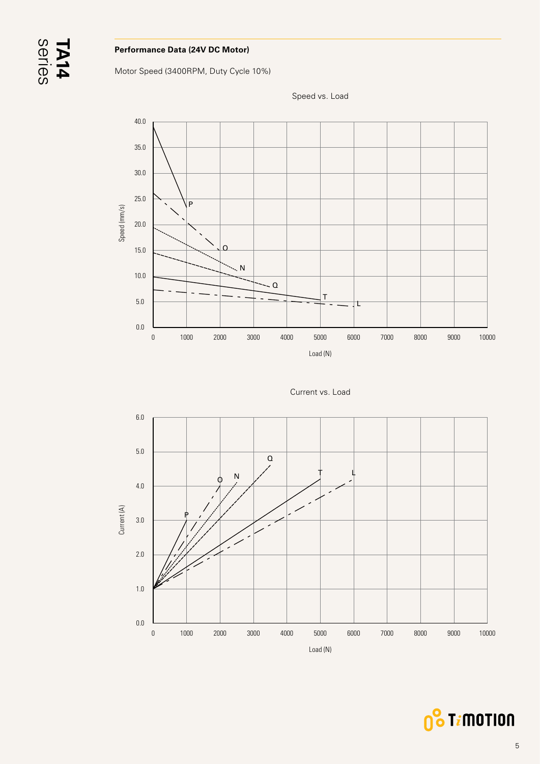#### **Performance Data (24V DC Motor)**

Motor Speed (3400RPM, Duty Cycle 10%)



Speed vs. Load





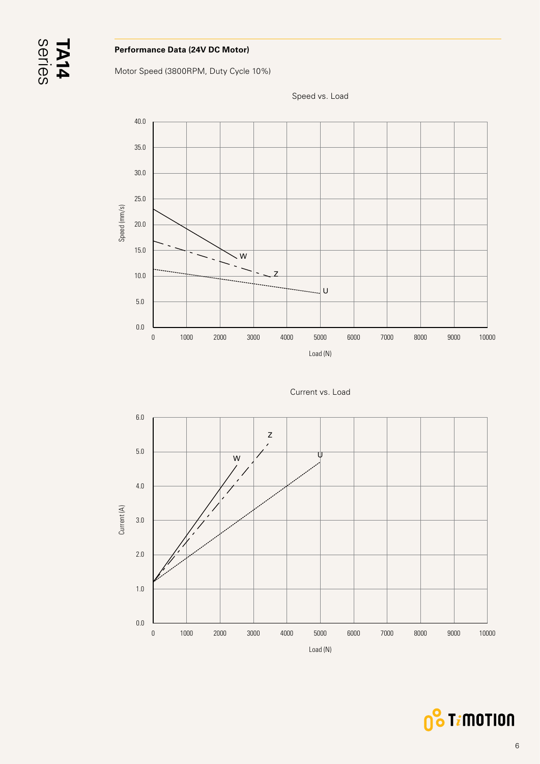#### **Performance Data (24V DC Motor)**

Motor Speed (3800RPM, Duty Cycle 10%)



Speed vs. Load





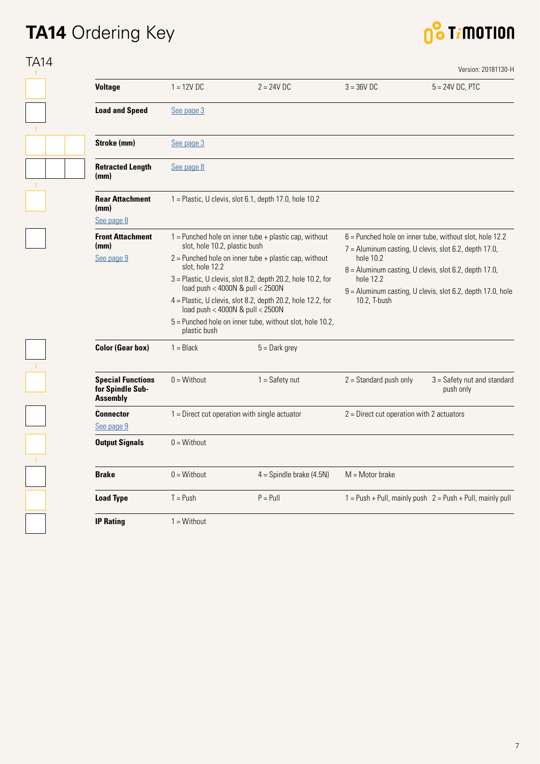### **TA14** Ordering Key



| <b>Voltage</b>                                                  | $1 = 12V$ DC                                    | $2 = 24V$ DC                                                                                        | $3 = 36V$ DC                                                                                                                                                                                                           | $5 = 24V$ DC, PTC                                               |  |
|-----------------------------------------------------------------|-------------------------------------------------|-----------------------------------------------------------------------------------------------------|------------------------------------------------------------------------------------------------------------------------------------------------------------------------------------------------------------------------|-----------------------------------------------------------------|--|
|                                                                 |                                                 |                                                                                                     |                                                                                                                                                                                                                        |                                                                 |  |
| <b>Load and Speed</b>                                           | See page 3                                      |                                                                                                     |                                                                                                                                                                                                                        |                                                                 |  |
| Stroke (mm)                                                     | See page 3                                      |                                                                                                     |                                                                                                                                                                                                                        |                                                                 |  |
| <b>Retracted Length</b><br>(mm)                                 | See page 8                                      |                                                                                                     |                                                                                                                                                                                                                        |                                                                 |  |
| <b>Rear Attachment</b><br>(mm)<br>See page 8                    |                                                 | 1 = Plastic, U clevis, slot 6.1, depth 17.0, hole 10.2                                              |                                                                                                                                                                                                                        |                                                                 |  |
| <b>Front Attachment</b>                                         |                                                 | $1 =$ Punched hole on inner tube + plastic cap, without                                             |                                                                                                                                                                                                                        | $6$ = Punched hole on inner tube, without slot, hole 12.2       |  |
| (mm)                                                            | slot, hole 10.2, plastic bush                   |                                                                                                     | 7 = Aluminum casting, U clevis, slot 6.2, depth 17.0,<br>hole 10.2<br>8 = Aluminum casting, U clevis, slot 6.2, depth 17.0,<br>hole 12.2<br>9 = Aluminum casting, U clevis, slot 6.2, depth 17.0, hole<br>10.2, T-bush |                                                                 |  |
| See page 9                                                      | slot, hole 12.2                                 | $2$ = Punched hole on inner tube + plastic cap, without                                             |                                                                                                                                                                                                                        |                                                                 |  |
|                                                                 |                                                 | 3 = Plastic, U clevis, slot 8.2, depth 20.2, hole 10.2, for<br>load push < 4000N & pull < 2500N     |                                                                                                                                                                                                                        |                                                                 |  |
|                                                                 |                                                 | 4 = Plastic, U clevis, slot 8.2, depth 20.2, hole 12.2, for<br>load push < $4000N$ & pull < $2500N$ |                                                                                                                                                                                                                        |                                                                 |  |
|                                                                 | plastic bush                                    | 5 = Punched hole on inner tube, without slot, hole 10.2,                                            |                                                                                                                                                                                                                        |                                                                 |  |
| <b>Color (Gear box)</b>                                         | $1 = Black$                                     | $5 =$ Dark grey                                                                                     |                                                                                                                                                                                                                        |                                                                 |  |
| <b>Special Functions</b><br>for Spindle Sub-<br><b>Assembly</b> | $0 = \text{Without}$                            | $1 = Safety nut$                                                                                    | $2 =$ Standard push only                                                                                                                                                                                               | $3 =$ Safety nut and standard<br>push only                      |  |
| <b>Connector</b>                                                | $1 =$ Direct cut operation with single actuator |                                                                                                     | $2$ = Direct cut operation with 2 actuators                                                                                                                                                                            |                                                                 |  |
| See page 9                                                      |                                                 |                                                                                                     |                                                                                                                                                                                                                        |                                                                 |  |
| <b>Output Signals</b>                                           | $0 = \text{Without}$                            |                                                                                                     |                                                                                                                                                                                                                        |                                                                 |  |
| <b>Brake</b>                                                    | $0 = \text{Without}$                            | $4 =$ Spindle brake (4.5N)                                                                          | $M = Motor$ brake                                                                                                                                                                                                      |                                                                 |  |
| <b>Load Type</b>                                                | $T = Push$                                      | $P = P$ ull                                                                                         |                                                                                                                                                                                                                        | $1 = Push + Pull$ , mainly push $2 = Push + Pull$ , mainly pull |  |
|                                                                 |                                                 |                                                                                                     |                                                                                                                                                                                                                        |                                                                 |  |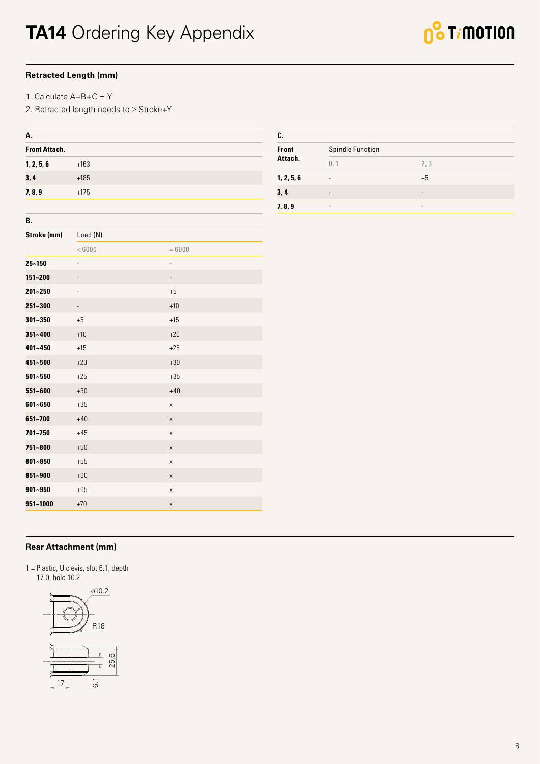#### <span id="page-7-0"></span>**Retracted Length (mm)**

1. Calculate A+B+C = Y

2. Retracted length needs to ≥ Stroke+Y

| A.                   |                   |                    |  |
|----------------------|-------------------|--------------------|--|
| <b>Front Attach.</b> |                   |                    |  |
| 1, 2, 5, 6           | $+163$            |                    |  |
| 3,4                  | $+185$            |                    |  |
| 7, 8, 9              | $+175$            |                    |  |
|                      |                   |                    |  |
| В.                   |                   |                    |  |
| Stroke (mm)          | Load (N)          |                    |  |
|                      | < 6000            | $= 6000$           |  |
| 25~150               |                   |                    |  |
| 151~200              |                   |                    |  |
| 201~250              | $\qquad \qquad -$ | $+5$               |  |
| 251~300              | $\blacksquare$    | $+10$              |  |
| $301 - 350$          | $+5$              | $+15$              |  |
| 351~400              | $+10$             | $+20$              |  |
| 401~450              | $+15$             | $+25$              |  |
| 451~500              | $+20$             | $+30$              |  |
| $501 - 550$          | $+25$             | $+35$              |  |
| 551~600              | $+30$             | $+40$              |  |
| 601~650              | $+35$             | Χ                  |  |
| 651~700              | $+40$             | Χ                  |  |
| 701~750              | $+45$             | Χ                  |  |
| 751~800              | $+50$             | Χ                  |  |
| 801~850              | $+55$             | $\pmb{\mathsf{X}}$ |  |
| 851~900              | $+60$             | Χ                  |  |
| 901~950              | $+65$             | Χ                  |  |
| 951~1000             | $+70$             | X                  |  |

| C.           |                          |                          |  |  |  |
|--------------|--------------------------|--------------------------|--|--|--|
| <b>Front</b> | <b>Spindle Function</b>  |                          |  |  |  |
| Attach.      | 0, 1                     | 2, 3                     |  |  |  |
| 1, 2, 5, 6   | $\overline{\phantom{a}}$ | $+5$                     |  |  |  |
| 3,4          | $\overline{\phantom{a}}$ | $\overline{\phantom{a}}$ |  |  |  |
| 7, 8, 9      | $\overline{\phantom{0}}$ | $\overline{\phantom{0}}$ |  |  |  |

#### **Rear Attachment (mm)**

1 = Plastic, U clevis, slot 6.1, depth 17.0, hole 10.2